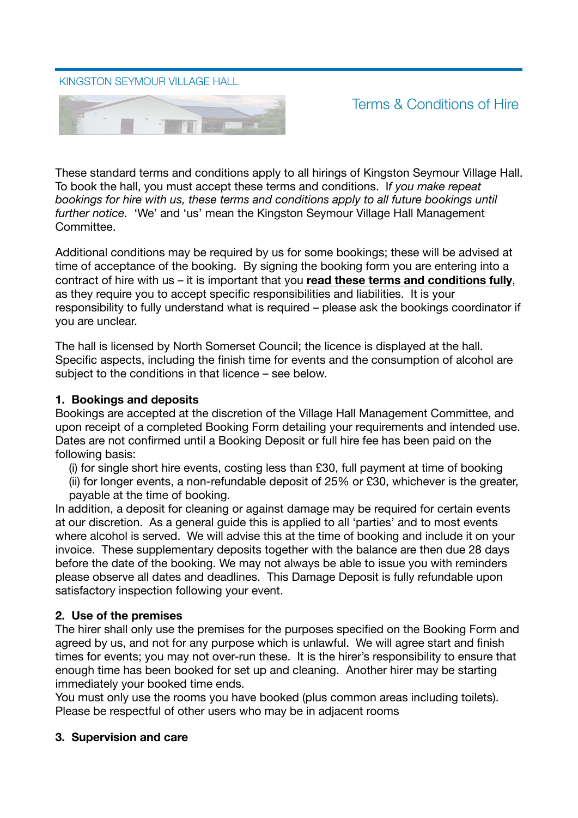#### KINGSTON SEYMOUR VILLAGE HALL



Terms & Conditions of Hire

These standard terms and conditions apply to all hirings of Kingston Seymour Village Hall. To book the hall, you must accept these terms and conditions. I*f you make repeat bookings for hire with us, these terms and conditions apply to all future bookings until further notice.* 'We' and 'us' mean the Kingston Seymour Village Hall Management Committee.

Additional conditions may be required by us for some bookings; these will be advised at time of acceptance of the booking. By signing the booking form you are entering into a contract of hire with us – it is important that you **read these terms and conditions fully**, as they require you to accept specific responsibilities and liabilities. It is your responsibility to fully understand what is required – please ask the bookings coordinator if you are unclear.

The hall is licensed by North Somerset Council; the licence is displayed at the hall. Specific aspects, including the finish time for events and the consumption of alcohol are subject to the conditions in that licence – see below.

#### **1. Bookings and deposits**

Bookings are accepted at the discretion of the Village Hall Management Committee, and upon receipt of a completed Booking Form detailing your requirements and intended use. Dates are not confirmed until a Booking Deposit or full hire fee has been paid on the following basis:

(i) for single short hire events, costing less than £30, full payment at time of booking (ii) for longer events, a non-refundable deposit of 25% or £30, whichever is the greater, payable at the time of booking.

In addition, a deposit for cleaning or against damage may be required for certain events at our discretion. As a general guide this is applied to all 'parties' and to most events where alcohol is served. We will advise this at the time of booking and include it on your invoice. These supplementary deposits together with the balance are then due 28 days before the date of the booking. We may not always be able to issue you with reminders please observe all dates and deadlines. This Damage Deposit is fully refundable upon satisfactory inspection following your event.

#### **2. Use of the premises**

The hirer shall only use the premises for the purposes specified on the Booking Form and agreed by us, and not for any purpose which is unlawful. We will agree start and finish times for events; you may not over-run these. It is the hirer's responsibility to ensure that enough time has been booked for set up and cleaning. Another hirer may be starting immediately your booked time ends.

You must only use the rooms you have booked (plus common areas including toilets). Please be respectful of other users who may be in adjacent rooms

#### **3. Supervision and care**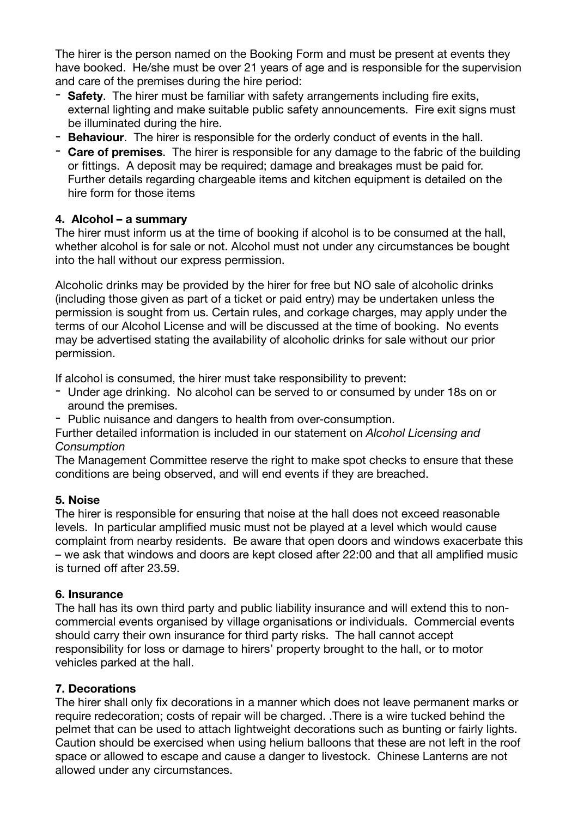The hirer is the person named on the Booking Form and must be present at events they have booked. He/she must be over 21 years of age and is responsible for the supervision and care of the premises during the hire period:

- **Safety**. The hirer must be familiar with safety arrangements including fire exits, external lighting and make suitable public safety announcements. Fire exit signs must be illuminated during the hire.
- **Behaviour**. The hirer is responsible for the orderly conduct of events in the hall.
- **Care of premises**. The hirer is responsible for any damage to the fabric of the building or fittings. A deposit may be required; damage and breakages must be paid for. Further details regarding chargeable items and kitchen equipment is detailed on the hire form for those items

# **4. Alcohol – a summary**

The hirer must inform us at the time of booking if alcohol is to be consumed at the hall, whether alcohol is for sale or not. Alcohol must not under any circumstances be bought into the hall without our express permission.

Alcoholic drinks may be provided by the hirer for free but NO sale of alcoholic drinks (including those given as part of a ticket or paid entry) may be undertaken unless the permission is sought from us. Certain rules, and corkage charges, may apply under the terms of our Alcohol License and will be discussed at the time of booking. No events may be advertised stating the availability of alcoholic drinks for sale without our prior permission.

If alcohol is consumed, the hirer must take responsibility to prevent:

- Under age drinking. No alcohol can be served to or consumed by under 18s on or around the premises.
- Public nuisance and dangers to health from over-consumption.

Further detailed information is included in our statement on *Alcohol Licensing and Consumption*

The Management Committee reserve the right to make spot checks to ensure that these conditions are being observed, and will end events if they are breached.

### **5. Noise**

The hirer is responsible for ensuring that noise at the hall does not exceed reasonable levels. In particular amplified music must not be played at a level which would cause complaint from nearby residents. Be aware that open doors and windows exacerbate this – we ask that windows and doors are kept closed after 22:00 and that all amplified music is turned off after 23.59.

### **6. Insurance**

The hall has its own third party and public liability insurance and will extend this to noncommercial events organised by village organisations or individuals. Commercial events should carry their own insurance for third party risks. The hall cannot accept responsibility for loss or damage to hirers' property brought to the hall, or to motor vehicles parked at the hall.

### **7. Decorations**

The hirer shall only fix decorations in a manner which does not leave permanent marks or require redecoration; costs of repair will be charged. .There is a wire tucked behind the pelmet that can be used to attach lightweight decorations such as bunting or fairly lights. Caution should be exercised when using helium balloons that these are not left in the roof space or allowed to escape and cause a danger to livestock. Chinese Lanterns are not allowed under any circumstances.